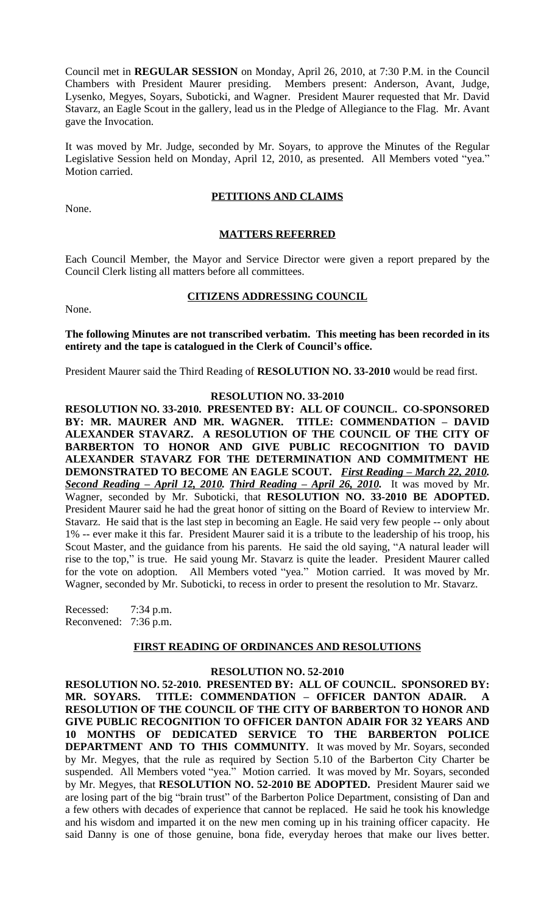Council met in **REGULAR SESSION** on Monday, April 26, 2010, at 7:30 P.M. in the Council Chambers with President Maurer presiding. Members present: Anderson, Avant, Judge, Lysenko, Megyes, Soyars, Suboticki, and Wagner. President Maurer requested that Mr. David Stavarz, an Eagle Scout in the gallery, lead us in the Pledge of Allegiance to the Flag. Mr. Avant gave the Invocation.

It was moved by Mr. Judge, seconded by Mr. Soyars, to approve the Minutes of the Regular Legislative Session held on Monday, April 12, 2010, as presented. All Members voted "yea." Motion carried.

### **PETITIONS AND CLAIMS**

None.

### **MATTERS REFERRED**

Each Council Member, the Mayor and Service Director were given a report prepared by the Council Clerk listing all matters before all committees.

#### **CITIZENS ADDRESSING COUNCIL**

None.

**The following Minutes are not transcribed verbatim. This meeting has been recorded in its entirety and the tape is catalogued in the Clerk of Council's office.**

President Maurer said the Third Reading of **RESOLUTION NO. 33-2010** would be read first.

## **RESOLUTION NO. 33-2010**

**RESOLUTION NO. 33-2010. PRESENTED BY: ALL OF COUNCIL. CO-SPONSORED BY: MR. MAURER AND MR. WAGNER. TITLE: COMMENDATION – DAVID ALEXANDER STAVARZ. A RESOLUTION OF THE COUNCIL OF THE CITY OF BARBERTON TO HONOR AND GIVE PUBLIC RECOGNITION TO DAVID ALEXANDER STAVARZ FOR THE DETERMINATION AND COMMITMENT HE DEMONSTRATED TO BECOME AN EAGLE SCOUT.** *First Reading – March 22, 2010. Second Reading – April 12, 2010. Third Reading – April 26, 2010.* It was moved by Mr. Wagner, seconded by Mr. Suboticki, that **RESOLUTION NO. 33-2010 BE ADOPTED.** President Maurer said he had the great honor of sitting on the Board of Review to interview Mr. Stavarz. He said that is the last step in becoming an Eagle. He said very few people -- only about 1% -- ever make it this far. President Maurer said it is a tribute to the leadership of his troop, his Scout Master, and the guidance from his parents. He said the old saying, "A natural leader will rise to the top," is true. He said young Mr. Stavarz is quite the leader. President Maurer called for the vote on adoption. All Members voted "yea." Motion carried. It was moved by Mr. Wagner, seconded by Mr. Suboticki, to recess in order to present the resolution to Mr. Stavarz.

Recessed: 7:34 p.m. Reconvened: 7:36 p.m.

#### **FIRST READING OF ORDINANCES AND RESOLUTIONS**

### **RESOLUTION NO. 52-2010**

**RESOLUTION NO. 52-2010. PRESENTED BY: ALL OF COUNCIL. SPONSORED BY: MR. SOYARS. TITLE: COMMENDATION – OFFICER DANTON ADAIR. A RESOLUTION OF THE COUNCIL OF THE CITY OF BARBERTON TO HONOR AND GIVE PUBLIC RECOGNITION TO OFFICER DANTON ADAIR FOR 32 YEARS AND 10 MONTHS OF DEDICATED SERVICE TO THE BARBERTON POLICE DEPARTMENT AND TO THIS COMMUNITY.** It was moved by Mr. Soyars, seconded by Mr. Megyes, that the rule as required by Section 5.10 of the Barberton City Charter be suspended. All Members voted "yea." Motion carried. It was moved by Mr. Soyars, seconded by Mr. Megyes, that **RESOLUTION NO. 52-2010 BE ADOPTED.** President Maurer said we are losing part of the big "brain trust" of the Barberton Police Department, consisting of Dan and a few others with decades of experience that cannot be replaced. He said he took his knowledge and his wisdom and imparted it on the new men coming up in his training officer capacity. He said Danny is one of those genuine, bona fide, everyday heroes that make our lives better.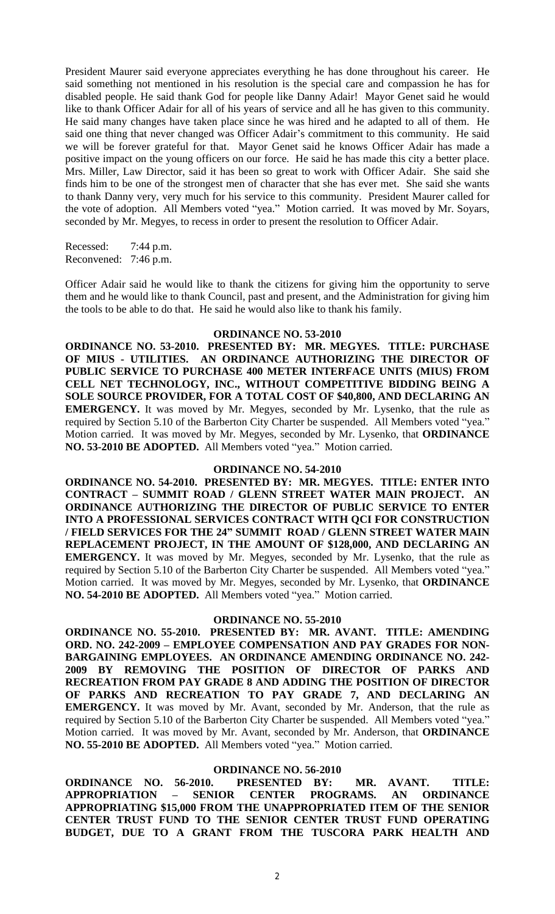President Maurer said everyone appreciates everything he has done throughout his career. He said something not mentioned in his resolution is the special care and compassion he has for disabled people. He said thank God for people like Danny Adair! Mayor Genet said he would like to thank Officer Adair for all of his years of service and all he has given to this community. He said many changes have taken place since he was hired and he adapted to all of them. He said one thing that never changed was Officer Adair's commitment to this community. He said we will be forever grateful for that. Mayor Genet said he knows Officer Adair has made a positive impact on the young officers on our force. He said he has made this city a better place. Mrs. Miller, Law Director, said it has been so great to work with Officer Adair. She said she finds him to be one of the strongest men of character that she has ever met. She said she wants to thank Danny very, very much for his service to this community. President Maurer called for the vote of adoption. All Members voted "yea." Motion carried. It was moved by Mr. Soyars, seconded by Mr. Megyes, to recess in order to present the resolution to Officer Adair.

Recessed: 7:44 p.m. Reconvened: 7:46 p.m.

Officer Adair said he would like to thank the citizens for giving him the opportunity to serve them and he would like to thank Council, past and present, and the Administration for giving him the tools to be able to do that. He said he would also like to thank his family.

#### **ORDINANCE NO. 53-2010**

**ORDINANCE NO. 53-2010. PRESENTED BY: MR. MEGYES. TITLE: PURCHASE OF MIUS - UTILITIES. AN ORDINANCE AUTHORIZING THE DIRECTOR OF PUBLIC SERVICE TO PURCHASE 400 METER INTERFACE UNITS (MIUS) FROM CELL NET TECHNOLOGY, INC., WITHOUT COMPETITIVE BIDDING BEING A SOLE SOURCE PROVIDER, FOR A TOTAL COST OF \$40,800, AND DECLARING AN EMERGENCY.** It was moved by Mr. Megyes, seconded by Mr. Lysenko, that the rule as required by Section 5.10 of the Barberton City Charter be suspended. All Members voted "yea." Motion carried. It was moved by Mr. Megyes, seconded by Mr. Lysenko, that **ORDINANCE NO. 53-2010 BE ADOPTED.** All Members voted "yea." Motion carried.

### **ORDINANCE NO. 54-2010**

**ORDINANCE NO. 54-2010. PRESENTED BY: MR. MEGYES. TITLE: ENTER INTO CONTRACT – SUMMIT ROAD / GLENN STREET WATER MAIN PROJECT. AN ORDINANCE AUTHORIZING THE DIRECTOR OF PUBLIC SERVICE TO ENTER INTO A PROFESSIONAL SERVICES CONTRACT WITH QCI FOR CONSTRUCTION / FIELD SERVICES FOR THE 24" SUMMIT ROAD / GLENN STREET WATER MAIN REPLACEMENT PROJECT, IN THE AMOUNT OF \$128,000, AND DECLARING AN EMERGENCY.** It was moved by Mr. Megyes, seconded by Mr. Lysenko, that the rule as required by Section 5.10 of the Barberton City Charter be suspended. All Members voted "yea." Motion carried. It was moved by Mr. Megyes, seconded by Mr. Lysenko, that **ORDINANCE NO. 54-2010 BE ADOPTED.** All Members voted "yea." Motion carried.

# **ORDINANCE NO. 55-2010**

**ORDINANCE NO. 55-2010. PRESENTED BY: MR. AVANT. TITLE: AMENDING ORD. NO. 242-2009 – EMPLOYEE COMPENSATION AND PAY GRADES FOR NON-BARGAINING EMPLOYEES. AN ORDINANCE AMENDING ORDINANCE NO. 242- 2009 BY REMOVING THE POSITION OF DIRECTOR OF PARKS AND RECREATION FROM PAY GRADE 8 AND ADDING THE POSITION OF DIRECTOR OF PARKS AND RECREATION TO PAY GRADE 7, AND DECLARING AN EMERGENCY.** It was moved by Mr. Avant, seconded by Mr. Anderson, that the rule as required by Section 5.10 of the Barberton City Charter be suspended. All Members voted "yea." Motion carried. It was moved by Mr. Avant, seconded by Mr. Anderson, that **ORDINANCE NO. 55-2010 BE ADOPTED.** All Members voted "yea." Motion carried.

### **ORDINANCE NO. 56-2010**

**ORDINANCE NO. 56-2010. PRESENTED BY: MR. AVANT. TITLE: APPROPRIATION – SENIOR CENTER PROGRAMS. AN ORDINANCE APPROPRIATING \$15,000 FROM THE UNAPPROPRIATED ITEM OF THE SENIOR CENTER TRUST FUND TO THE SENIOR CENTER TRUST FUND OPERATING BUDGET, DUE TO A GRANT FROM THE TUSCORA PARK HEALTH AND**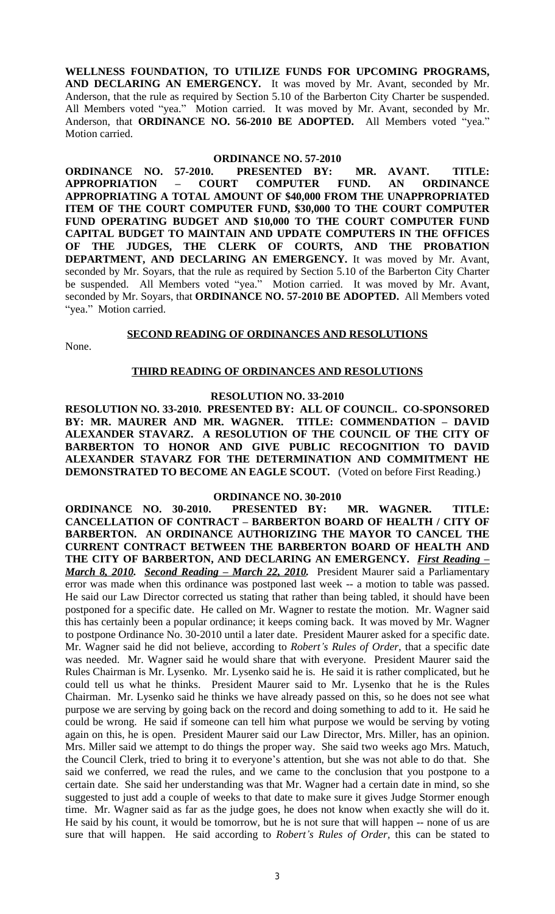**WELLNESS FOUNDATION, TO UTILIZE FUNDS FOR UPCOMING PROGRAMS, AND DECLARING AN EMERGENCY.** It was moved by Mr. Avant, seconded by Mr. Anderson, that the rule as required by Section 5.10 of the Barberton City Charter be suspended. All Members voted "yea." Motion carried. It was moved by Mr. Avant, seconded by Mr. Anderson, that **ORDINANCE NO. 56-2010 BE ADOPTED.** All Members voted "yea." Motion carried.

#### **ORDINANCE NO. 57-2010**

**ORDINANCE NO. 57-2010. PRESENTED BY: MR. AVANT. TITLE: APPROPRIATION – COURT COMPUTER FUND. AN ORDINANCE APPROPRIATING A TOTAL AMOUNT OF \$40,000 FROM THE UNAPPROPRIATED ITEM OF THE COURT COMPUTER FUND, \$30,000 TO THE COURT COMPUTER FUND OPERATING BUDGET AND \$10,000 TO THE COURT COMPUTER FUND CAPITAL BUDGET TO MAINTAIN AND UPDATE COMPUTERS IN THE OFFICES OF THE JUDGES, THE CLERK OF COURTS, AND THE PROBATION DEPARTMENT, AND DECLARING AN EMERGENCY.** It was moved by Mr. Avant, seconded by Mr. Soyars, that the rule as required by Section 5.10 of the Barberton City Charter be suspended. All Members voted "yea." Motion carried. It was moved by Mr. Avant, seconded by Mr. Soyars, that **ORDINANCE NO. 57-2010 BE ADOPTED.** All Members voted "yea." Motion carried.

#### **SECOND READING OF ORDINANCES AND RESOLUTIONS**

None.

#### **THIRD READING OF ORDINANCES AND RESOLUTIONS**

## **RESOLUTION NO. 33-2010**

**RESOLUTION NO. 33-2010. PRESENTED BY: ALL OF COUNCIL. CO-SPONSORED BY: MR. MAURER AND MR. WAGNER. TITLE: COMMENDATION – DAVID ALEXANDER STAVARZ. A RESOLUTION OF THE COUNCIL OF THE CITY OF BARBERTON TO HONOR AND GIVE PUBLIC RECOGNITION TO DAVID ALEXANDER STAVARZ FOR THE DETERMINATION AND COMMITMENT HE DEMONSTRATED TO BECOME AN EAGLE SCOUT.** (Voted on before First Reading.)

#### **ORDINANCE NO. 30-2010**

**ORDINANCE NO. 30-2010. PRESENTED BY: MR. WAGNER. TITLE: CANCELLATION OF CONTRACT – BARBERTON BOARD OF HEALTH / CITY OF BARBERTON. AN ORDINANCE AUTHORIZING THE MAYOR TO CANCEL THE CURRENT CONTRACT BETWEEN THE BARBERTON BOARD OF HEALTH AND THE CITY OF BARBERTON, AND DECLARING AN EMERGENCY.** *First Reading – March 8, 2010. Second Reading – March 22, 2010.* President Maurer said a Parliamentary error was made when this ordinance was postponed last week -- a motion to table was passed. He said our Law Director corrected us stating that rather than being tabled, it should have been postponed for a specific date. He called on Mr. Wagner to restate the motion. Mr. Wagner said this has certainly been a popular ordinance; it keeps coming back. It was moved by Mr. Wagner to postpone Ordinance No. 30-2010 until a later date. President Maurer asked for a specific date. Mr. Wagner said he did not believe, according to *Robert's Rules of Order*, that a specific date was needed. Mr. Wagner said he would share that with everyone. President Maurer said the Rules Chairman is Mr. Lysenko. Mr. Lysenko said he is. He said it is rather complicated, but he could tell us what he thinks. President Maurer said to Mr. Lysenko that he is the Rules Chairman. Mr. Lysenko said he thinks we have already passed on this, so he does not see what purpose we are serving by going back on the record and doing something to add to it. He said he could be wrong. He said if someone can tell him what purpose we would be serving by voting again on this, he is open. President Maurer said our Law Director, Mrs. Miller, has an opinion. Mrs. Miller said we attempt to do things the proper way. She said two weeks ago Mrs. Matuch, the Council Clerk, tried to bring it to everyone's attention, but she was not able to do that. She said we conferred, we read the rules, and we came to the conclusion that you postpone to a certain date. She said her understanding was that Mr. Wagner had a certain date in mind, so she suggested to just add a couple of weeks to that date to make sure it gives Judge Stormer enough time. Mr. Wagner said as far as the judge goes, he does not know when exactly she will do it. He said by his count, it would be tomorrow, but he is not sure that will happen -- none of us are sure that will happen. He said according to *Robert's Rules of Order,* this can be stated to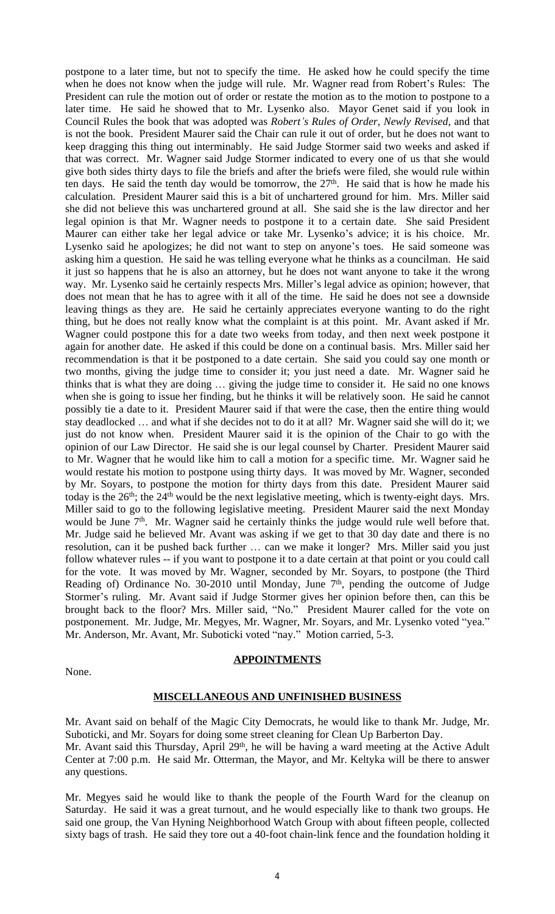postpone to a later time, but not to specify the time. He asked how he could specify the time when he does not know when the judge will rule. Mr. Wagner read from Robert's Rules: The President can rule the motion out of order or restate the motion as to the motion to postpone to a later time. He said he showed that to Mr. Lysenko also. Mayor Genet said if you look in Council Rules the book that was adopted was *Robert's Rules of Order, Newly Revised*, and that is not the book. President Maurer said the Chair can rule it out of order, but he does not want to keep dragging this thing out interminably. He said Judge Stormer said two weeks and asked if that was correct. Mr. Wagner said Judge Stormer indicated to every one of us that she would give both sides thirty days to file the briefs and after the briefs were filed, she would rule within ten days. He said the tenth day would be tomorrow, the  $27<sup>th</sup>$ . He said that is how he made his calculation. President Maurer said this is a bit of unchartered ground for him. Mrs. Miller said she did not believe this was unchartered ground at all. She said she is the law director and her legal opinion is that Mr. Wagner needs to postpone it to a certain date. She said President Maurer can either take her legal advice or take Mr. Lysenko's advice; it is his choice. Mr. Lysenko said he apologizes; he did not want to step on anyone's toes. He said someone was asking him a question. He said he was telling everyone what he thinks as a councilman. He said it just so happens that he is also an attorney, but he does not want anyone to take it the wrong way. Mr. Lysenko said he certainly respects Mrs. Miller's legal advice as opinion; however, that does not mean that he has to agree with it all of the time. He said he does not see a downside leaving things as they are. He said he certainly appreciates everyone wanting to do the right thing, but he does not really know what the complaint is at this point. Mr. Avant asked if Mr. Wagner could postpone this for a date two weeks from today, and then next week postpone it again for another date. He asked if this could be done on a continual basis. Mrs. Miller said her recommendation is that it be postponed to a date certain. She said you could say one month or two months, giving the judge time to consider it; you just need a date. Mr. Wagner said he thinks that is what they are doing … giving the judge time to consider it. He said no one knows when she is going to issue her finding, but he thinks it will be relatively soon. He said he cannot possibly tie a date to it. President Maurer said if that were the case, then the entire thing would stay deadlocked … and what if she decides not to do it at all? Mr. Wagner said she will do it; we just do not know when. President Maurer said it is the opinion of the Chair to go with the opinion of our Law Director. He said she is our legal counsel by Charter. President Maurer said to Mr. Wagner that he would like him to call a motion for a specific time. Mr. Wagner said he would restate his motion to postpone using thirty days. It was moved by Mr. Wagner, seconded by Mr. Soyars, to postpone the motion for thirty days from this date. President Maurer said today is the 26<sup>th</sup>; the 24<sup>th</sup> would be the next legislative meeting, which is twenty-eight days. Mrs. Miller said to go to the following legislative meeting. President Maurer said the next Monday would be June 7<sup>th</sup>. Mr. Wagner said he certainly thinks the judge would rule well before that. Mr. Judge said he believed Mr. Avant was asking if we get to that 30 day date and there is no resolution, can it be pushed back further … can we make it longer? Mrs. Miller said you just follow whatever rules -- if you want to postpone it to a date certain at that point or you could call for the vote. It was moved by Mr. Wagner, seconded by Mr. Soyars, to postpone (the Third Reading of) Ordinance No. 30-2010 until Monday, June 7<sup>th</sup>, pending the outcome of Judge Stormer's ruling. Mr. Avant said if Judge Stormer gives her opinion before then, can this be brought back to the floor? Mrs. Miller said, "No." President Maurer called for the vote on postponement. Mr. Judge, Mr. Megyes, Mr. Wagner, Mr. Soyars, and Mr. Lysenko voted "yea." Mr. Anderson, Mr. Avant, Mr. Suboticki voted "nay." Motion carried, 5-3.

None.

#### **APPOINTMENTS**

#### **MISCELLANEOUS AND UNFINISHED BUSINESS**

Mr. Avant said on behalf of the Magic City Democrats, he would like to thank Mr. Judge, Mr. Suboticki, and Mr. Soyars for doing some street cleaning for Clean Up Barberton Day. Mr. Avant said this Thursday, April 29<sup>th</sup>, he will be having a ward meeting at the Active Adult Center at 7:00 p.m. He said Mr. Otterman, the Mayor, and Mr. Keltyka will be there to answer any questions.

Mr. Megyes said he would like to thank the people of the Fourth Ward for the cleanup on Saturday. He said it was a great turnout, and he would especially like to thank two groups. He said one group, the Van Hyning Neighborhood Watch Group with about fifteen people, collected sixty bags of trash. He said they tore out a 40-foot chain-link fence and the foundation holding it